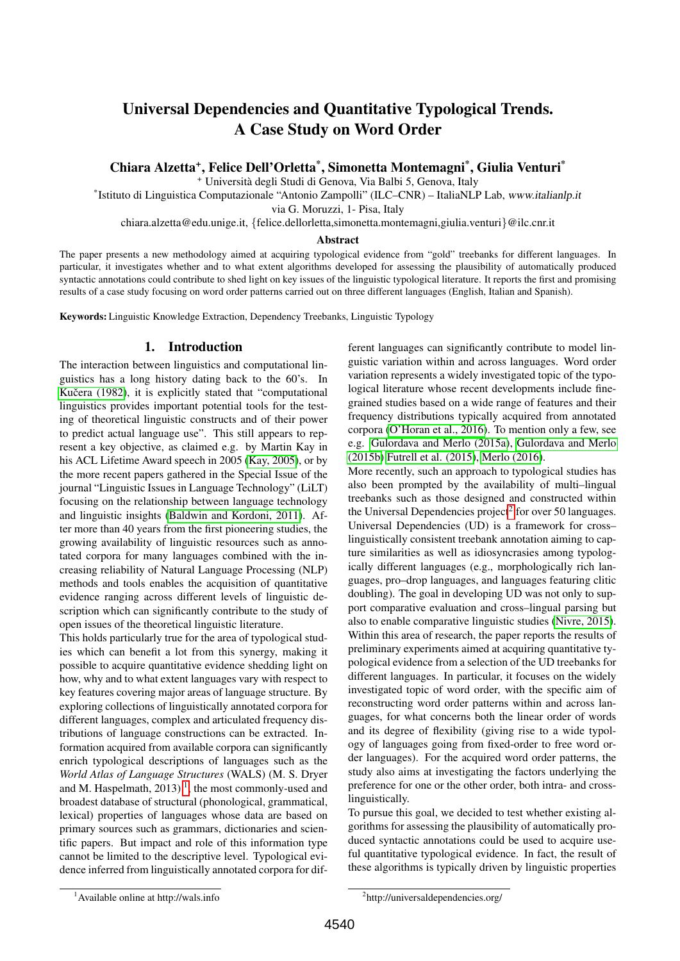# Universal Dependencies and Quantitative Typological Trends. A Case Study on Word Order

Chiara Alzetta<sup>+</sup>, Felice Dell'Orletta<sup>\*</sup>, Simonetta Montemagni<sup>\*</sup>, Giulia Venturi<sup>\*</sup>

<sup>+</sup> Universita degli Studi di Genova, Via Balbi 5, Genova, Italy `

\* Istituto di Linguistica Computazionale "Antonio Zampolli" (ILC–CNR) – ItaliaNLP Lab, www.italianlp.it

via G. Moruzzi, 1- Pisa, Italy

chiara.alzetta@edu.unige.it, {felice.dellorletta,simonetta.montemagni,giulia.venturi}@ilc.cnr.it

#### Abstract

The paper presents a new methodology aimed at acquiring typological evidence from "gold" treebanks for different languages. In particular, it investigates whether and to what extent algorithms developed for assessing the plausibility of automatically produced syntactic annotations could contribute to shed light on key issues of the linguistic typological literature. It reports the first and promising results of a case study focusing on word order patterns carried out on three different languages (English, Italian and Spanish).

Keywords: Linguistic Knowledge Extraction, Dependency Treebanks, Linguistic Typology

## 1. Introduction

The interaction between linguistics and computational linguistics has a long history dating back to the 60's. In Kučera (1982), it is explicitly stated that "computational linguistics provides important potential tools for the testing of theoretical linguistic constructs and of their power to predict actual language use". This still appears to represent a key objective, as claimed e.g. by Martin Kay in his ACL Lifetime Award speech in 2005 [\(Kay, 2005\)](#page-8-1), or by the more recent papers gathered in the Special Issue of the journal "Linguistic Issues in Language Technology" (LiLT) focusing on the relationship between language technology and linguistic insights [\(Baldwin and Kordoni, 2011\)](#page-8-2). After more than 40 years from the first pioneering studies, the growing availability of linguistic resources such as annotated corpora for many languages combined with the increasing reliability of Natural Language Processing (NLP) methods and tools enables the acquisition of quantitative evidence ranging across different levels of linguistic description which can significantly contribute to the study of open issues of the theoretical linguistic literature.

This holds particularly true for the area of typological studies which can benefit a lot from this synergy, making it possible to acquire quantitative evidence shedding light on how, why and to what extent languages vary with respect to key features covering major areas of language structure. By exploring collections of linguistically annotated corpora for different languages, complex and articulated frequency distributions of language constructions can be extracted. Information acquired from available corpora can significantly enrich typological descriptions of languages such as the *World Atlas of Language Structures* (WALS) (M. S. Dryer and M. Haspelmath,  $2013$  $2013$  $2013$ )<sup>1</sup>, the most commonly-used and broadest database of structural (phonological, grammatical, lexical) properties of languages whose data are based on primary sources such as grammars, dictionaries and scientific papers. But impact and role of this information type cannot be limited to the descriptive level. Typological evidence inferred from linguistically annotated corpora for different languages can significantly contribute to model linguistic variation within and across languages. Word order variation represents a widely investigated topic of the typological literature whose recent developments include finegrained studies based on a wide range of features and their frequency distributions typically acquired from annotated corpora [\(O'Horan et al., 2016\)](#page-8-3). To mention only a few, see e.g. [Gulordava and Merlo \(2015a\)](#page-8-4), [Gulordava and Merlo](#page-8-5) [\(2015b\)](#page-8-5) [Futrell et al. \(2015\)](#page-8-6), [Merlo \(2016\)](#page-8-7).

More recently, such an approach to typological studies has also been prompted by the availability of multi–lingual treebanks such as those designed and constructed within the Universal Dependencies project<sup>[2](#page-0-1)</sup> for over 50 languages. Universal Dependencies (UD) is a framework for cross– linguistically consistent treebank annotation aiming to capture similarities as well as idiosyncrasies among typologically different languages (e.g., morphologically rich languages, pro–drop languages, and languages featuring clitic doubling). The goal in developing UD was not only to support comparative evaluation and cross–lingual parsing but also to enable comparative linguistic studies [\(Nivre, 2015\)](#page-8-8). Within this area of research, the paper reports the results of preliminary experiments aimed at acquiring quantitative typological evidence from a selection of the UD treebanks for different languages. In particular, it focuses on the widely investigated topic of word order, with the specific aim of reconstructing word order patterns within and across languages, for what concerns both the linear order of words and its degree of flexibility (giving rise to a wide typology of languages going from fixed-order to free word order languages). For the acquired word order patterns, the study also aims at investigating the factors underlying the preference for one or the other order, both intra- and crosslinguistically.

To pursue this goal, we decided to test whether existing algorithms for assessing the plausibility of automatically produced syntactic annotations could be used to acquire useful quantitative typological evidence. In fact, the result of these algorithms is typically driven by linguistic properties

<span id="page-0-0"></span><sup>1</sup>Available online at http://wals.info

<span id="page-0-1"></span><sup>2</sup> http://universaldependencies.org/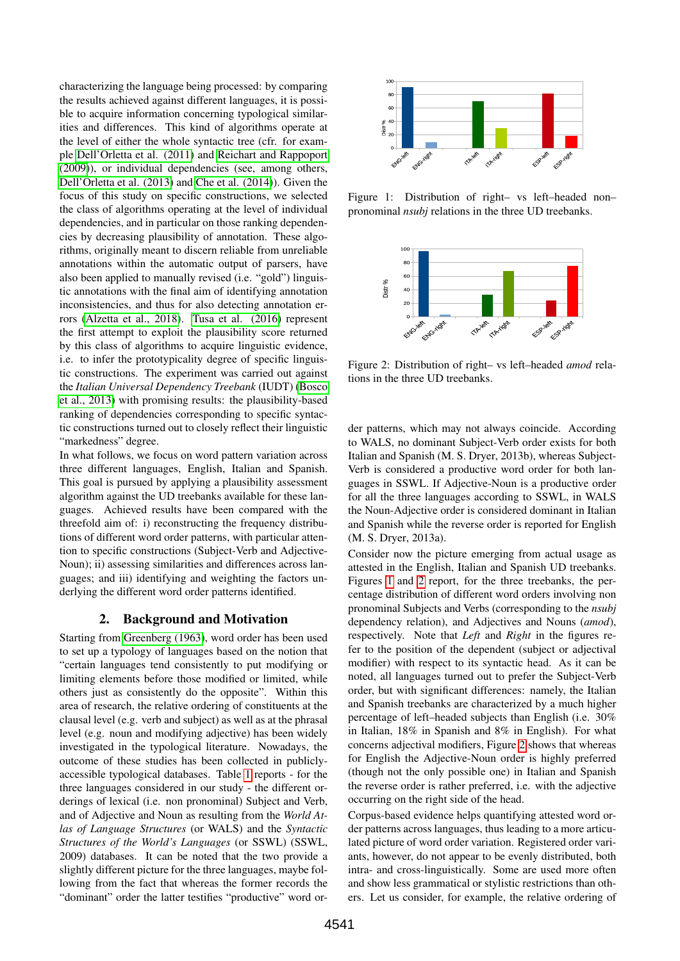characterizing the language being processed: by comparing the results achieved against different languages, it is possible to acquire information concerning typological similarities and differences. This kind of algorithms operate at the level of either the whole syntactic tree (cfr. for example [Dell'Orletta et al. \(2011\)](#page-8-9) and [Reichart and Rappoport](#page-8-10) [\(2009\)](#page-8-10)), or individual dependencies (see, among others, [Dell'Orletta et al. \(2013\)](#page-8-11) and [Che et al. \(2014\)](#page-8-12)). Given the focus of this study on specific constructions, we selected the class of algorithms operating at the level of individual dependencies, and in particular on those ranking dependencies by decreasing plausibility of annotation. These algorithms, originally meant to discern reliable from unreliable annotations within the automatic output of parsers, have also been applied to manually revised (i.e. "gold") linguistic annotations with the final aim of identifying annotation inconsistencies, and thus for also detecting annotation errors [\(Alzetta et al., 2018\)](#page-8-13). [Tusa et al. \(2016\)](#page-9-0) represent the first attempt to exploit the plausibility score returned by this class of algorithms to acquire linguistic evidence, i.e. to infer the prototypicality degree of specific linguistic constructions. The experiment was carried out against the *Italian Universal Dependency Treebank* (IUDT) [\(Bosco](#page-8-14) [et al., 2013\)](#page-8-14) with promising results: the plausibility-based ranking of dependencies corresponding to specific syntactic constructions turned out to closely reflect their linguistic "markedness" degree.

In what follows, we focus on word pattern variation across three different languages, English, Italian and Spanish. This goal is pursued by applying a plausibility assessment algorithm against the UD treebanks available for these languages. Achieved results have been compared with the threefold aim of: i) reconstructing the frequency distributions of different word order patterns, with particular attention to specific constructions (Subject-Verb and Adjective-Noun); ii) assessing similarities and differences across languages; and iii) identifying and weighting the factors underlying the different word order patterns identified.

## 2. Background and Motivation

<span id="page-1-2"></span>Starting from [Greenberg \(1963\)](#page-8-15), word order has been used to set up a typology of languages based on the notion that "certain languages tend consistently to put modifying or limiting elements before those modified or limited, while others just as consistently do the opposite". Within this area of research, the relative ordering of constituents at the clausal level (e.g. verb and subject) as well as at the phrasal level (e.g. noun and modifying adjective) has been widely investigated in the typological literature. Nowadays, the outcome of these studies has been collected in publiclyaccessible typological databases. Table [1](#page-2-0) reports - for the three languages considered in our study - the different orderings of lexical (i.e. non pronominal) Subject and Verb, and of Adjective and Noun as resulting from the *World Atlas of Language Structures* (or WALS) and the *Syntactic Structures of the World's Languages* (or SSWL) (SSWL, 2009) databases. It can be noted that the two provide a slightly different picture for the three languages, maybe following from the fact that whereas the former records the "dominant" order the latter testifies "productive" word or-



<span id="page-1-0"></span>Figure 1: Distribution of right– vs left–headed non– pronominal *nsubj* relations in the three UD treebanks.



<span id="page-1-1"></span>Figure 2: Distribution of right– vs left–headed *amod* relations in the three UD treebanks.

der patterns, which may not always coincide. According to WALS, no dominant Subject-Verb order exists for both Italian and Spanish (M. S. Dryer, 2013b), whereas Subject-Verb is considered a productive word order for both languages in SSWL. If Adjective-Noun is a productive order for all the three languages according to SSWL, in WALS the Noun-Adjective order is considered dominant in Italian and Spanish while the reverse order is reported for English (M. S. Dryer, 2013a).

Consider now the picture emerging from actual usage as attested in the English, Italian and Spanish UD treebanks. Figures [1](#page-1-0) and [2](#page-1-1) report, for the three treebanks, the percentage distribution of different word orders involving non pronominal Subjects and Verbs (corresponding to the *nsubj* dependency relation), and Adjectives and Nouns (*amod*), respectively. Note that *Left* and *Right* in the figures refer to the position of the dependent (subject or adjectival modifier) with respect to its syntactic head. As it can be noted, all languages turned out to prefer the Subject-Verb order, but with significant differences: namely, the Italian and Spanish treebanks are characterized by a much higher percentage of left–headed subjects than English (i.e. 30% in Italian, 18% in Spanish and 8% in English). For what concerns adjectival modifiers, Figure [2](#page-1-1) shows that whereas for English the Adjective-Noun order is highly preferred (though not the only possible one) in Italian and Spanish the reverse order is rather preferred, i.e. with the adjective occurring on the right side of the head.

Corpus-based evidence helps quantifying attested word order patterns across languages, thus leading to a more articulated picture of word order variation. Registered order variants, however, do not appear to be evenly distributed, both intra- and cross-linguistically. Some are used more often and show less grammatical or stylistic restrictions than others. Let us consider, for example, the relative ordering of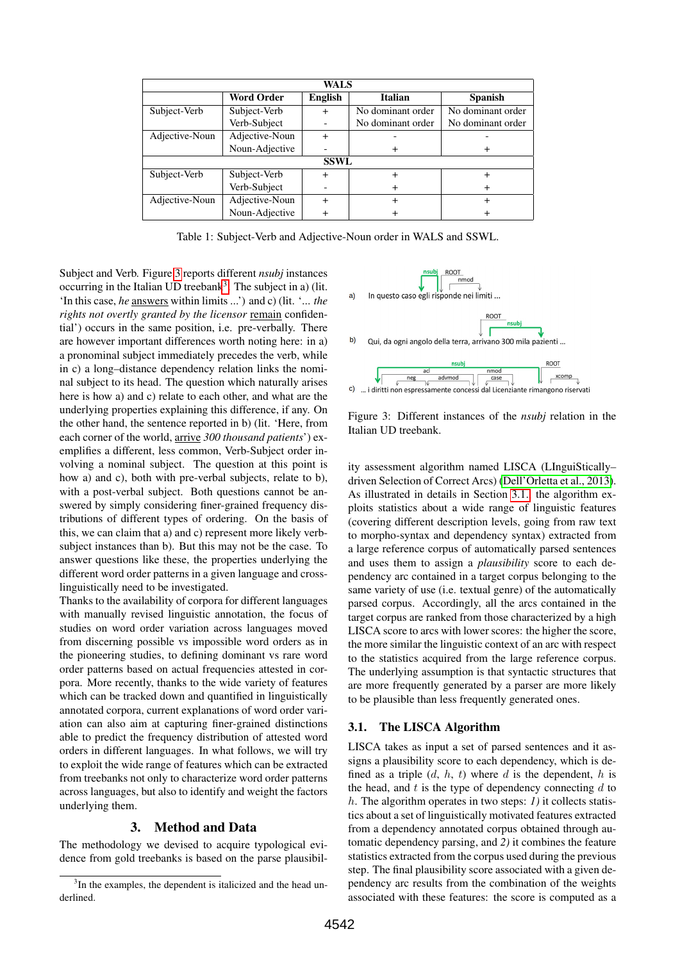| <b>WALS</b>    |                   |                |                   |                   |
|----------------|-------------------|----------------|-------------------|-------------------|
|                | <b>Word Order</b> | <b>English</b> | <b>Italian</b>    | <b>Spanish</b>    |
| Subject-Verb   | Subject-Verb      | $\ddot{}$      | No dominant order | No dominant order |
|                | Verb-Subject      |                | No dominant order | No dominant order |
| Adjective-Noun | Adjective-Noun    | $\ddot{}$      |                   |                   |
|                | Noun-Adjective    |                | ┿                 | ٠                 |
| <b>SSWL</b>    |                   |                |                   |                   |
| Subject-Verb   | Subject-Verb      | $\ddot{}$      | $\ddot{}$         | $\,{}^+$          |
|                | Verb-Subject      |                | $\ddot{}$         | $\div$            |
| Adjective-Noun | Adjective-Noun    | $\ddot{}$      | $\ddot{}$         | $\div$            |
|                | Noun-Adjective    |                | ┿                 |                   |

<span id="page-2-0"></span>Table 1: Subject-Verb and Adjective-Noun order in WALS and SSWL.

Subject and Verb. Figure [3](#page-2-1) reports different *nsubj* instances occurring in the Italian UD treebank<sup>[3](#page-2-2)</sup>. The subject in a) (lit. 'In this case, *he* answers within limits ...') and c) (lit. '... *the rights not overtly granted by the licensor* remain confidential') occurs in the same position, i.e. pre-verbally. There are however important differences worth noting here: in a) a pronominal subject immediately precedes the verb, while in c) a long–distance dependency relation links the nominal subject to its head. The question which naturally arises here is how a) and c) relate to each other, and what are the underlying properties explaining this difference, if any. On the other hand, the sentence reported in b) (lit. 'Here, from each corner of the world, arrive *300 thousand patients*') exemplifies a different, less common, Verb-Subject order involving a nominal subject. The question at this point is how a) and c), both with pre-verbal subjects, relate to b), with a post-verbal subject. Both questions cannot be answered by simply considering finer-grained frequency distributions of different types of ordering. On the basis of this, we can claim that a) and c) represent more likely verbsubject instances than b). But this may not be the case. To answer questions like these, the properties underlying the different word order patterns in a given language and crosslinguistically need to be investigated.

Thanks to the availability of corpora for different languages with manually revised linguistic annotation, the focus of studies on word order variation across languages moved from discerning possible vs impossible word orders as in the pioneering studies, to defining dominant vs rare word order patterns based on actual frequencies attested in corpora. More recently, thanks to the wide variety of features which can be tracked down and quantified in linguistically annotated corpora, current explanations of word order variation can also aim at capturing finer-grained distinctions able to predict the frequency distribution of attested word orders in different languages. In what follows, we will try to exploit the wide range of features which can be extracted from treebanks not only to characterize word order patterns across languages, but also to identify and weight the factors underlying them.

## 3. Method and Data

The methodology we devised to acquire typological evidence from gold treebanks is based on the parse plausibil-



<span id="page-2-1"></span>Figure 3: Different instances of the *nsubj* relation in the Italian UD treebank.

ity assessment algorithm named LISCA (LInguiStically– driven Selection of Correct Arcs) [\(Dell'Orletta et al., 2013\)](#page-8-11). As illustrated in details in Section [3.1.,](#page-2-3) the algorithm exploits statistics about a wide range of linguistic features (covering different description levels, going from raw text to morpho-syntax and dependency syntax) extracted from a large reference corpus of automatically parsed sentences and uses them to assign a *plausibility* score to each dependency arc contained in a target corpus belonging to the same variety of use (i.e. textual genre) of the automatically parsed corpus. Accordingly, all the arcs contained in the target corpus are ranked from those characterized by a high LISCA score to arcs with lower scores: the higher the score, the more similar the linguistic context of an arc with respect to the statistics acquired from the large reference corpus. The underlying assumption is that syntactic structures that are more frequently generated by a parser are more likely to be plausible than less frequently generated ones.

## <span id="page-2-3"></span>3.1. The LISCA Algorithm

LISCA takes as input a set of parsed sentences and it assigns a plausibility score to each dependency, which is defined as a triple  $(d, h, t)$  where d is the dependent, h is the head, and  $t$  is the type of dependency connecting  $d$  to h. The algorithm operates in two steps: *1)* it collects statistics about a set of linguistically motivated features extracted from a dependency annotated corpus obtained through automatic dependency parsing, and *2)* it combines the feature statistics extracted from the corpus used during the previous step. The final plausibility score associated with a given dependency arc results from the combination of the weights associated with these features: the score is computed as a

<span id="page-2-2"></span><sup>&</sup>lt;sup>3</sup>In the examples, the dependent is italicized and the head underlined.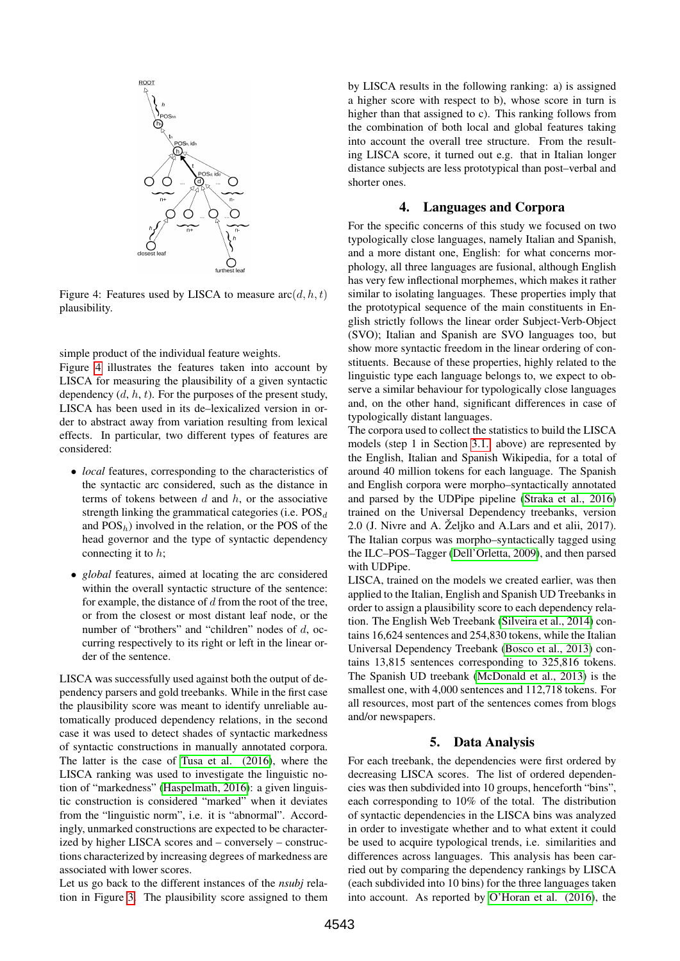

<span id="page-3-0"></span>Figure 4: Features used by LISCA to measure  $\operatorname{arc}(d, h, t)$ plausibility.

simple product of the individual feature weights.

Figure [4](#page-3-0) illustrates the features taken into account by LISCA for measuring the plausibility of a given syntactic dependency  $(d, h, t)$ . For the purposes of the present study, LISCA has been used in its de–lexicalized version in order to abstract away from variation resulting from lexical effects. In particular, two different types of features are considered:

- *local* features, corresponding to the characteristics of the syntactic arc considered, such as the distance in terms of tokens between  $d$  and  $h$ , or the associative strength linking the grammatical categories (i.e.  $POS_d$ and  $POS_h$ ) involved in the relation, or the POS of the head governor and the type of syntactic dependency connecting it to h;
- *global* features, aimed at locating the arc considered within the overall syntactic structure of the sentence: for example, the distance of  $d$  from the root of the tree, or from the closest or most distant leaf node, or the number of "brothers" and "children" nodes of d, occurring respectively to its right or left in the linear order of the sentence.

LISCA was successfully used against both the output of dependency parsers and gold treebanks. While in the first case the plausibility score was meant to identify unreliable automatically produced dependency relations, in the second case it was used to detect shades of syntactic markedness of syntactic constructions in manually annotated corpora. The latter is the case of [Tusa et al. \(2016\)](#page-9-0), where the LISCA ranking was used to investigate the linguistic notion of "markedness" [\(Haspelmath, 2016\)](#page-8-16): a given linguistic construction is considered "marked" when it deviates from the "linguistic norm", i.e. it is "abnormal". Accordingly, unmarked constructions are expected to be characterized by higher LISCA scores and – conversely – constructions characterized by increasing degrees of markedness are associated with lower scores.

Let us go back to the different instances of the *nsubj* relation in Figure [3.](#page-2-1) The plausibility score assigned to them by LISCA results in the following ranking: a) is assigned a higher score with respect to b), whose score in turn is higher than that assigned to c). This ranking follows from the combination of both local and global features taking into account the overall tree structure. From the resulting LISCA score, it turned out e.g. that in Italian longer distance subjects are less prototypical than post–verbal and shorter ones.

## 4. Languages and Corpora

For the specific concerns of this study we focused on two typologically close languages, namely Italian and Spanish, and a more distant one, English: for what concerns morphology, all three languages are fusional, although English has very few inflectional morphemes, which makes it rather similar to isolating languages. These properties imply that the prototypical sequence of the main constituents in English strictly follows the linear order Subject-Verb-Object (SVO); Italian and Spanish are SVO languages too, but show more syntactic freedom in the linear ordering of constituents. Because of these properties, highly related to the linguistic type each language belongs to, we expect to observe a similar behaviour for typologically close languages and, on the other hand, significant differences in case of typologically distant languages.

The corpora used to collect the statistics to build the LISCA models (step 1 in Section [3.1.](#page-2-3) above) are represented by the English, Italian and Spanish Wikipedia, for a total of around 40 million tokens for each language. The Spanish and English corpora were morpho–syntactically annotated and parsed by the UDPipe pipeline [\(Straka et al., 2016\)](#page-8-17) trained on the Universal Dependency treebanks, version 2.0 (J. Nivre and A.  $\check{Z}$ eljko and A. Lars and et alii, 2017). The Italian corpus was morpho–syntactically tagged using the ILC–POS–Tagger [\(Dell'Orletta, 2009\)](#page-8-18), and then parsed with UDPipe.

LISCA, trained on the models we created earlier, was then applied to the Italian, English and Spanish UD Treebanks in order to assign a plausibility score to each dependency relation. The English Web Treebank [\(Silveira et al., 2014\)](#page-8-19) contains 16,624 sentences and 254,830 tokens, while the Italian Universal Dependency Treebank [\(Bosco et al., 2013\)](#page-8-14) contains 13,815 sentences corresponding to 325,816 tokens. The Spanish UD treebank [\(McDonald et al., 2013\)](#page-8-20) is the smallest one, with 4,000 sentences and 112,718 tokens. For all resources, most part of the sentences comes from blogs and/or newspapers.

#### 5. Data Analysis

For each treebank, the dependencies were first ordered by decreasing LISCA scores. The list of ordered dependencies was then subdivided into 10 groups, henceforth "bins", each corresponding to 10% of the total. The distribution of syntactic dependencies in the LISCA bins was analyzed in order to investigate whether and to what extent it could be used to acquire typological trends, i.e. similarities and differences across languages. This analysis has been carried out by comparing the dependency rankings by LISCA (each subdivided into 10 bins) for the three languages taken into account. As reported by [O'Horan et al. \(2016\)](#page-8-3), the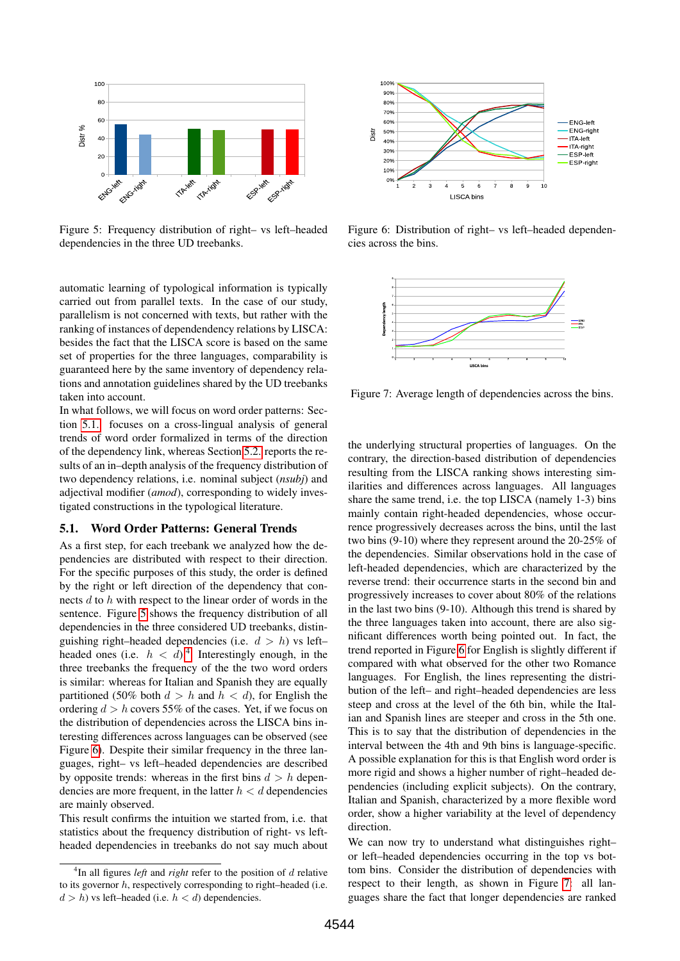

<span id="page-4-1"></span>Figure 5: Frequency distribution of right– vs left–headed dependencies in the three UD treebanks.

automatic learning of typological information is typically carried out from parallel texts. In the case of our study, parallelism is not concerned with texts, but rather with the ranking of instances of dependendency relations by LISCA: besides the fact that the LISCA score is based on the same set of properties for the three languages, comparability is guaranteed here by the same inventory of dependency relations and annotation guidelines shared by the UD treebanks taken into account.

In what follows, we will focus on word order patterns: Section [5.1.](#page-4-0) focuses on a cross-lingual analysis of general trends of word order formalized in terms of the direction of the dependency link, whereas Section [5.2.](#page-5-0) reports the results of an in–depth analysis of the frequency distribution of two dependency relations, i.e. nominal subject (*nsubj*) and adjectival modifier (*amod*), corresponding to widely investigated constructions in the typological literature.

#### <span id="page-4-0"></span>5.1. Word Order Patterns: General Trends

As a first step, for each treebank we analyzed how the dependencies are distributed with respect to their direction. For the specific purposes of this study, the order is defined by the right or left direction of the dependency that connects d to h with respect to the linear order of words in the sentence. Figure [5](#page-4-1) shows the frequency distribution of all dependencies in the three considered UD treebanks, distinguishing right–headed dependencies (i.e.  $d > h$ ) vs left– headed ones (i.e.  $h < d$ ).<sup>[4](#page-4-2)</sup> Interestingly enough, in the three treebanks the frequency of the the two word orders is similar: whereas for Italian and Spanish they are equally partitioned (50% both  $d > h$  and  $h < d$ ), for English the ordering  $d > h$  covers 55% of the cases. Yet, if we focus on the distribution of dependencies across the LISCA bins interesting differences across languages can be observed (see Figure [6\)](#page-4-3). Despite their similar frequency in the three languages, right– vs left–headed dependencies are described by opposite trends: whereas in the first bins  $d > h$  dependencies are more frequent, in the latter  $h < d$  dependencies are mainly observed.

This result confirms the intuition we started from, i.e. that statistics about the frequency distribution of right- vs leftheaded dependencies in treebanks do not say much about



<span id="page-4-3"></span>Figure 6: Distribution of right– vs left–headed dependencies across the bins.



<span id="page-4-4"></span>Figure 7: Average length of dependencies across the bins.

the underlying structural properties of languages. On the contrary, the direction-based distribution of dependencies resulting from the LISCA ranking shows interesting similarities and differences across languages. All languages share the same trend, i.e. the top LISCA (namely 1-3) bins mainly contain right-headed dependencies, whose occurrence progressively decreases across the bins, until the last two bins (9-10) where they represent around the 20-25% of the dependencies. Similar observations hold in the case of left-headed dependencies, which are characterized by the reverse trend: their occurrence starts in the second bin and progressively increases to cover about 80% of the relations in the last two bins (9-10). Although this trend is shared by the three languages taken into account, there are also significant differences worth being pointed out. In fact, the trend reported in Figure [6](#page-4-3) for English is slightly different if compared with what observed for the other two Romance languages. For English, the lines representing the distribution of the left– and right–headed dependencies are less steep and cross at the level of the 6th bin, while the Italian and Spanish lines are steeper and cross in the 5th one. This is to say that the distribution of dependencies in the interval between the 4th and 9th bins is language-specific. A possible explanation for this is that English word order is more rigid and shows a higher number of right–headed dependencies (including explicit subjects). On the contrary, Italian and Spanish, characterized by a more flexible word order, show a higher variability at the level of dependency direction.

We can now try to understand what distinguishes right– or left–headed dependencies occurring in the top vs bottom bins. Consider the distribution of dependencies with respect to their length, as shown in Figure [7:](#page-4-4) all languages share the fact that longer dependencies are ranked

<span id="page-4-2"></span><sup>4</sup> In all figures *left* and *right* refer to the position of d relative to its governor h, respectively corresponding to right–headed (i.e.  $d > h$ ) vs left–headed (i.e.  $h < d$ ) dependencies.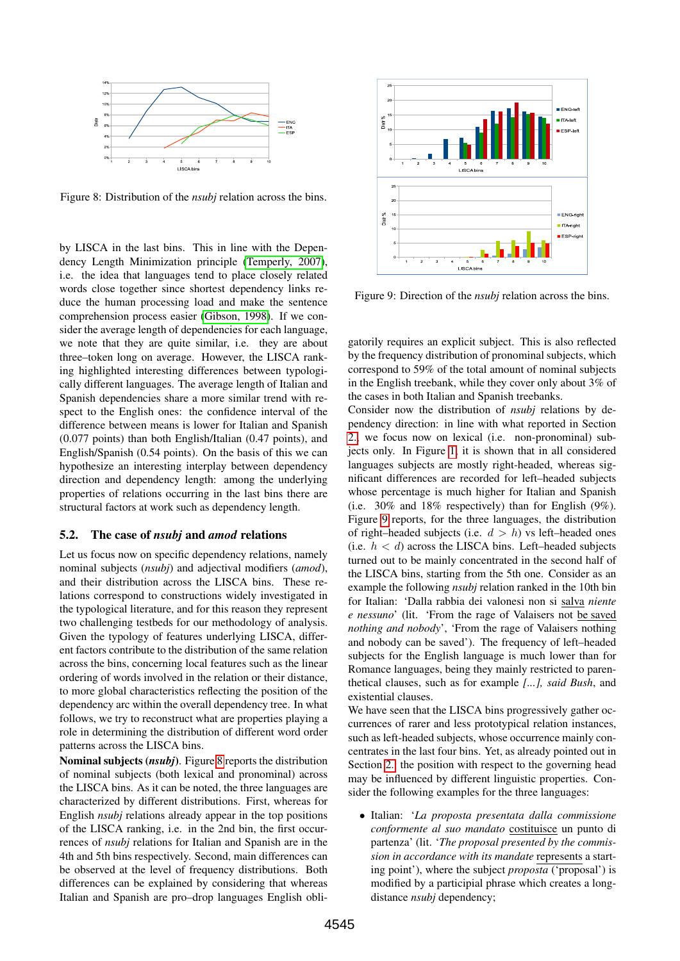

<span id="page-5-1"></span>Figure 8: Distribution of the *nsubj* relation across the bins.

by LISCA in the last bins. This in line with the Dependency Length Minimization principle [\(Temperly, 2007\)](#page-8-21), i.e. the idea that languages tend to place closely related words close together since shortest dependency links reduce the human processing load and make the sentence comprehension process easier [\(Gibson, 1998\)](#page-8-22). If we consider the average length of dependencies for each language, we note that they are quite similar, i.e. they are about three–token long on average. However, the LISCA ranking highlighted interesting differences between typologically different languages. The average length of Italian and Spanish dependencies share a more similar trend with respect to the English ones: the confidence interval of the difference between means is lower for Italian and Spanish (0.077 points) than both English/Italian (0.47 points), and English/Spanish (0.54 points). On the basis of this we can hypothesize an interesting interplay between dependency direction and dependency length: among the underlying properties of relations occurring in the last bins there are structural factors at work such as dependency length.

#### <span id="page-5-0"></span>5.2. The case of *nsubj* and *amod* relations

Let us focus now on specific dependency relations, namely nominal subjects (*nsubj*) and adjectival modifiers (*amod*), and their distribution across the LISCA bins. These relations correspond to constructions widely investigated in the typological literature, and for this reason they represent two challenging testbeds for our methodology of analysis. Given the typology of features underlying LISCA, different factors contribute to the distribution of the same relation across the bins, concerning local features such as the linear ordering of words involved in the relation or their distance, to more global characteristics reflecting the position of the dependency arc within the overall dependency tree. In what follows, we try to reconstruct what are properties playing a role in determining the distribution of different word order patterns across the LISCA bins.

Nominal subjects (*nsubj*). Figure [8](#page-5-1) reports the distribution of nominal subjects (both lexical and pronominal) across the LISCA bins. As it can be noted, the three languages are characterized by different distributions. First, whereas for English *nsubj* relations already appear in the top positions of the LISCA ranking, i.e. in the 2nd bin, the first occurrences of *nsubj* relations for Italian and Spanish are in the 4th and 5th bins respectively. Second, main differences can be observed at the level of frequency distributions. Both differences can be explained by considering that whereas Italian and Spanish are pro–drop languages English obli-



<span id="page-5-2"></span>Figure 9: Direction of the *nsubj* relation across the bins.

gatorily requires an explicit subject. This is also reflected by the frequency distribution of pronominal subjects, which correspond to 59% of the total amount of nominal subjects in the English treebank, while they cover only about 3% of the cases in both Italian and Spanish treebanks.

Consider now the distribution of *nsubj* relations by dependency direction: in line with what reported in Section [2.,](#page-1-2) we focus now on lexical (i.e. non-pronominal) subjects only. In Figure [1,](#page-1-0) it is shown that in all considered languages subjects are mostly right-headed, whereas significant differences are recorded for left–headed subjects whose percentage is much higher for Italian and Spanish (i.e. 30% and 18% respectively) than for English (9%). Figure [9](#page-5-2) reports, for the three languages, the distribution of right–headed subjects (i.e.  $d > h$ ) vs left–headed ones (i.e.  $h < d$ ) across the LISCA bins. Left–headed subjects turned out to be mainly concentrated in the second half of the LISCA bins, starting from the 5th one. Consider as an example the following *nsubj* relation ranked in the 10th bin for Italian: 'Dalla rabbia dei valonesi non si salva *niente e nessuno*' (lit. 'From the rage of Valaisers not be saved *nothing and nobody*', 'From the rage of Valaisers nothing and nobody can be saved'). The frequency of left–headed subjects for the English language is much lower than for Romance languages, being they mainly restricted to parenthetical clauses, such as for example *[...], said Bush*, and existential clauses.

We have seen that the LISCA bins progressively gather occurrences of rarer and less prototypical relation instances, such as left-headed subjects, whose occurrence mainly concentrates in the last four bins. Yet, as already pointed out in Section [2.,](#page-1-2) the position with respect to the governing head may be influenced by different linguistic properties. Consider the following examples for the three languages:

• Italian: '*La proposta presentata dalla commissione conformente al suo mandato* costituisce un punto di partenza' (lit. '*The proposal presented by the commission in accordance with its mandate* represents a starting point'), where the subject *proposta* ('proposal') is modified by a participial phrase which creates a longdistance *nsubj* dependency;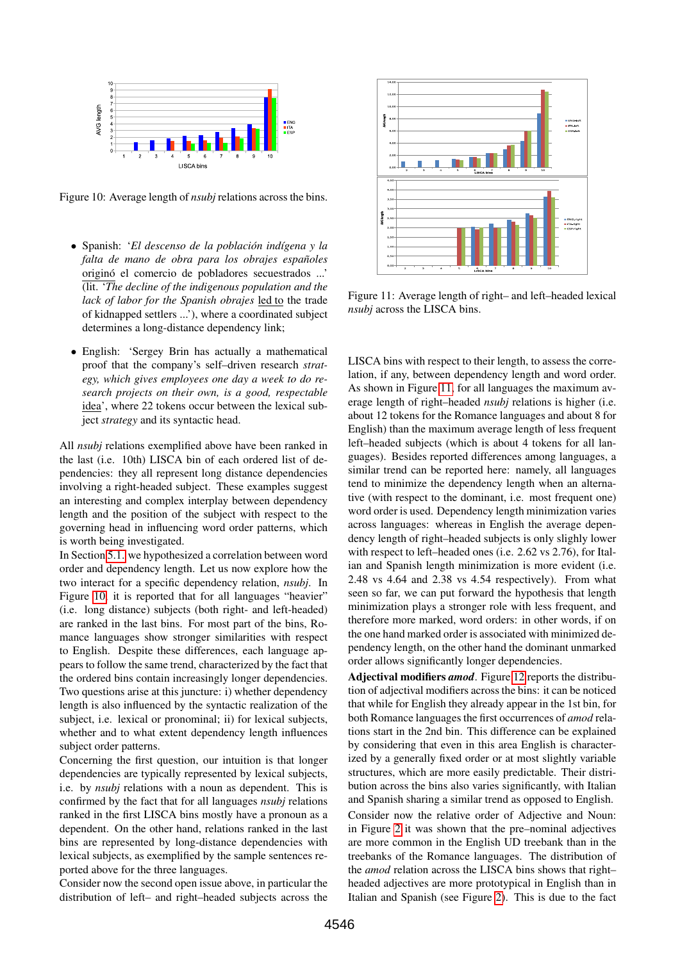

<span id="page-6-0"></span>Figure 10: Average length of *nsubj* relations across the bins.

- Spanish: '*El descenso de la población indígena* y la *falta de mano de obra para los obrajes espanoles ˜* origino´ el comercio de pobladores secuestrados ...' (lit. '*The decline of the indigenous population and the lack of labor for the Spanish obrajes* led to the trade of kidnapped settlers ...'), where a coordinated subject determines a long-distance dependency link;
- English: 'Sergey Brin has actually a mathematical proof that the company's self–driven research *strategy, which gives employees one day a week to do research projects on their own, is a good, respectable* idea', where 22 tokens occur between the lexical subject *strategy* and its syntactic head.

All *nsubj* relations exemplified above have been ranked in the last (i.e. 10th) LISCA bin of each ordered list of dependencies: they all represent long distance dependencies involving a right-headed subject. These examples suggest an interesting and complex interplay between dependency length and the position of the subject with respect to the governing head in influencing word order patterns, which is worth being investigated.

In Section [5.1.](#page-4-0) we hypothesized a correlation between word order and dependency length. Let us now explore how the two interact for a specific dependency relation, *nsubj*. In Figure [10,](#page-6-0) it is reported that for all languages "heavier" (i.e. long distance) subjects (both right- and left-headed) are ranked in the last bins. For most part of the bins, Romance languages show stronger similarities with respect to English. Despite these differences, each language appears to follow the same trend, characterized by the fact that the ordered bins contain increasingly longer dependencies. Two questions arise at this juncture: i) whether dependency length is also influenced by the syntactic realization of the subject, i.e. lexical or pronominal; ii) for lexical subjects, whether and to what extent dependency length influences subject order patterns.

Concerning the first question, our intuition is that longer dependencies are typically represented by lexical subjects, i.e. by *nsubj* relations with a noun as dependent. This is confirmed by the fact that for all languages *nsubj* relations ranked in the first LISCA bins mostly have a pronoun as a dependent. On the other hand, relations ranked in the last bins are represented by long-distance dependencies with lexical subjects, as exemplified by the sample sentences reported above for the three languages.

Consider now the second open issue above, in particular the distribution of left– and right–headed subjects across the



<span id="page-6-1"></span>Figure 11: Average length of right– and left–headed lexical *nsubj* across the LISCA bins.

LISCA bins with respect to their length, to assess the correlation, if any, between dependency length and word order. As shown in Figure [11,](#page-6-1) for all languages the maximum average length of right–headed *nsubj* relations is higher (i.e. about 12 tokens for the Romance languages and about 8 for English) than the maximum average length of less frequent left–headed subjects (which is about 4 tokens for all languages). Besides reported differences among languages, a similar trend can be reported here: namely, all languages tend to minimize the dependency length when an alternative (with respect to the dominant, i.e. most frequent one) word order is used. Dependency length minimization varies across languages: whereas in English the average dependency length of right–headed subjects is only slighly lower with respect to left–headed ones (i.e. 2.62 vs 2.76), for Italian and Spanish length minimization is more evident (i.e. 2.48 vs 4.64 and 2.38 vs 4.54 respectively). From what seen so far, we can put forward the hypothesis that length minimization plays a stronger role with less frequent, and therefore more marked, word orders: in other words, if on the one hand marked order is associated with minimized dependency length, on the other hand the dominant unmarked order allows significantly longer dependencies.

Adjectival modifiers *amod*. Figure [12](#page-7-0) reports the distribution of adjectival modifiers across the bins: it can be noticed that while for English they already appear in the 1st bin, for both Romance languages the first occurrences of *amod* relations start in the 2nd bin. This difference can be explained by considering that even in this area English is characterized by a generally fixed order or at most slightly variable structures, which are more easily predictable. Their distribution across the bins also varies significantly, with Italian and Spanish sharing a similar trend as opposed to English. Consider now the relative order of Adjective and Noun: in Figure [2](#page-1-1) it was shown that the pre–nominal adjectives are more common in the English UD treebank than in the treebanks of the Romance languages. The distribution of the *amod* relation across the LISCA bins shows that right– headed adjectives are more prototypical in English than in Italian and Spanish (see Figure [2\)](#page-1-1). This is due to the fact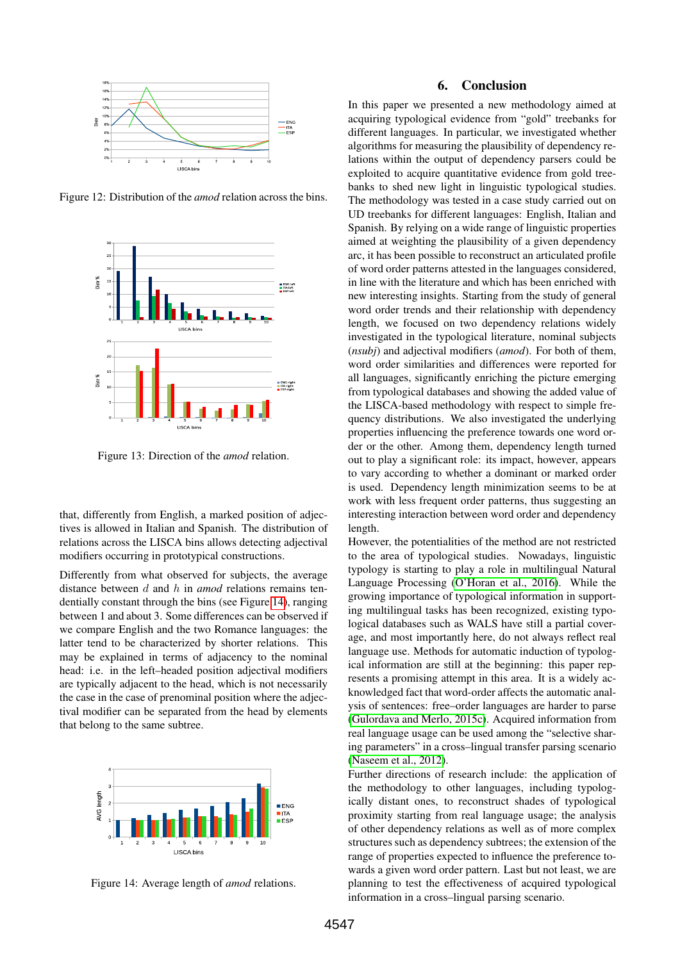

Figure 12: Distribution of the *amod* relation across the bins.

<span id="page-7-0"></span>

Figure 13: Direction of the *amod* relation.

that, differently from English, a marked position of adjectives is allowed in Italian and Spanish. The distribution of relations across the LISCA bins allows detecting adjectival modifiers occurring in prototypical constructions.

Differently from what observed for subjects, the average distance between d and h in *amod* relations remains tendentially constant through the bins (see Figure [14\)](#page-7-1), ranging between 1 and about 3. Some differences can be observed if we compare English and the two Romance languages: the latter tend to be characterized by shorter relations. This may be explained in terms of adjacency to the nominal head: i.e. in the left–headed position adjectival modifiers are typically adjacent to the head, which is not necessarily the case in the case of prenominal position where the adjectival modifier can be separated from the head by elements that belong to the same subtree.



<span id="page-7-1"></span>Figure 14: Average length of *amod* relations.

#### 6. Conclusion

In this paper we presented a new methodology aimed at acquiring typological evidence from "gold" treebanks for different languages. In particular, we investigated whether algorithms for measuring the plausibility of dependency relations within the output of dependency parsers could be exploited to acquire quantitative evidence from gold treebanks to shed new light in linguistic typological studies. The methodology was tested in a case study carried out on UD treebanks for different languages: English, Italian and Spanish. By relying on a wide range of linguistic properties aimed at weighting the plausibility of a given dependency arc, it has been possible to reconstruct an articulated profile of word order patterns attested in the languages considered, in line with the literature and which has been enriched with new interesting insights. Starting from the study of general word order trends and their relationship with dependency length, we focused on two dependency relations widely investigated in the typological literature, nominal subjects (*nsubj*) and adjectival modifiers (*amod*). For both of them, word order similarities and differences were reported for all languages, significantly enriching the picture emerging from typological databases and showing the added value of the LISCA-based methodology with respect to simple frequency distributions. We also investigated the underlying properties influencing the preference towards one word order or the other. Among them, dependency length turned out to play a significant role: its impact, however, appears to vary according to whether a dominant or marked order is used. Dependency length minimization seems to be at work with less frequent order patterns, thus suggesting an interesting interaction between word order and dependency length.

However, the potentialities of the method are not restricted to the area of typological studies. Nowadays, linguistic typology is starting to play a role in multilingual Natural Language Processing [\(O'Horan et al., 2016\)](#page-8-3). While the growing importance of typological information in supporting multilingual tasks has been recognized, existing typological databases such as WALS have still a partial coverage, and most importantly here, do not always reflect real language use. Methods for automatic induction of typological information are still at the beginning: this paper represents a promising attempt in this area. It is a widely acknowledged fact that word-order affects the automatic analysis of sentences: free–order languages are harder to parse [\(Gulordava and Merlo, 2015c\)](#page-8-23). Acquired information from real language usage can be used among the "selective sharing parameters" in a cross–lingual transfer parsing scenario [\(Naseem et al., 2012\)](#page-8-24).

Further directions of research include: the application of the methodology to other languages, including typologically distant ones, to reconstruct shades of typological proximity starting from real language usage; the analysis of other dependency relations as well as of more complex structures such as dependency subtrees; the extension of the range of properties expected to influence the preference towards a given word order pattern. Last but not least, we are planning to test the effectiveness of acquired typological information in a cross–lingual parsing scenario.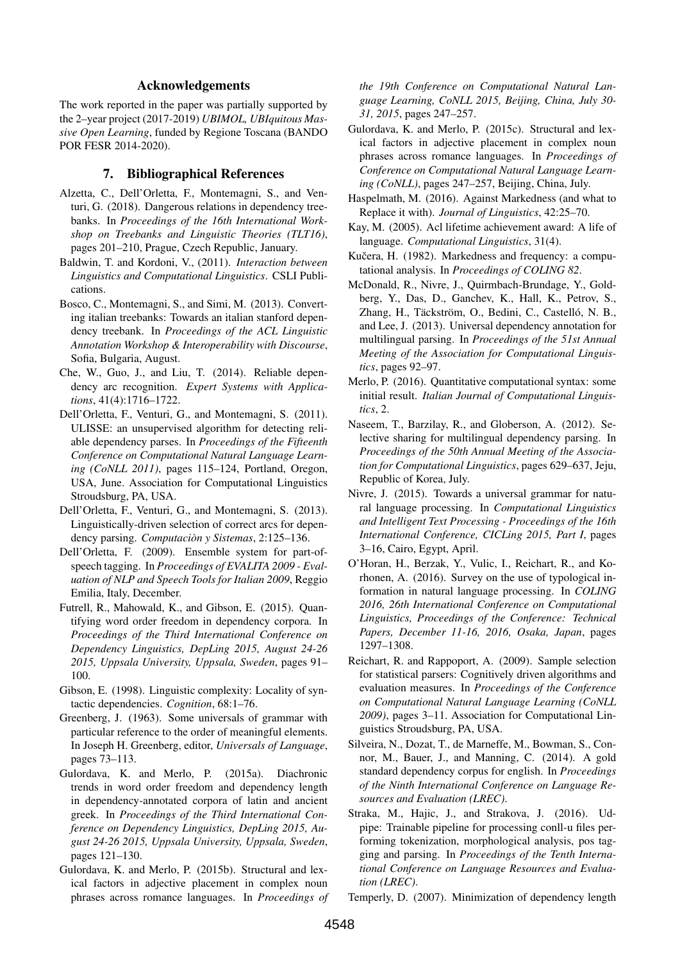#### Acknowledgements

The work reported in the paper was partially supported by the 2–year project (2017-2019) *UBIMOL, UBIquitous Massive Open Learning*, funded by Regione Toscana (BANDO POR FESR 2014-2020).

#### 7. Bibliographical References

- <span id="page-8-13"></span>Alzetta, C., Dell'Orletta, F., Montemagni, S., and Venturi, G. (2018). Dangerous relations in dependency treebanks. In *Proceedings of the 16th International Workshop on Treebanks and Linguistic Theories (TLT16)*, pages 201–210, Prague, Czech Republic, January.
- <span id="page-8-2"></span>Baldwin, T. and Kordoni, V., (2011). *Interaction between Linguistics and Computational Linguistics*. CSLI Publications.
- <span id="page-8-14"></span>Bosco, C., Montemagni, S., and Simi, M. (2013). Converting italian treebanks: Towards an italian stanford dependency treebank. In *Proceedings of the ACL Linguistic Annotation Workshop & Interoperability with Discourse*, Sofia, Bulgaria, August.
- <span id="page-8-12"></span>Che, W., Guo, J., and Liu, T. (2014). Reliable dependency arc recognition. *Expert Systems with Applications*, 41(4):1716–1722.
- <span id="page-8-9"></span>Dell'Orletta, F., Venturi, G., and Montemagni, S. (2011). ULISSE: an unsupervised algorithm for detecting reliable dependency parses. In *Proceedings of the Fifteenth Conference on Computational Natural Language Learning (CoNLL 2011)*, pages 115–124, Portland, Oregon, USA, June. Association for Computational Linguistics Stroudsburg, PA, USA.
- <span id="page-8-11"></span>Dell'Orletta, F., Venturi, G., and Montemagni, S. (2013). Linguistically-driven selection of correct arcs for dependency parsing. *Computacion y Sistemas `* , 2:125–136.
- <span id="page-8-18"></span>Dell'Orletta, F. (2009). Ensemble system for part-ofspeech tagging. In *Proceedings of EVALITA 2009 - Evaluation of NLP and Speech Tools for Italian 2009*, Reggio Emilia, Italy, December.
- <span id="page-8-6"></span>Futrell, R., Mahowald, K., and Gibson, E. (2015). Quantifying word order freedom in dependency corpora. In *Proceedings of the Third International Conference on Dependency Linguistics, DepLing 2015, August 24-26 2015, Uppsala University, Uppsala, Sweden*, pages 91– 100.
- <span id="page-8-22"></span>Gibson, E. (1998). Linguistic complexity: Locality of syntactic dependencies. *Cognition*, 68:1–76.
- <span id="page-8-15"></span>Greenberg, J. (1963). Some universals of grammar with particular reference to the order of meaningful elements. In Joseph H. Greenberg, editor, *Universals of Language*, pages 73–113.
- <span id="page-8-4"></span>Gulordava, K. and Merlo, P. (2015a). Diachronic trends in word order freedom and dependency length in dependency-annotated corpora of latin and ancient greek. In *Proceedings of the Third International Conference on Dependency Linguistics, DepLing 2015, August 24-26 2015, Uppsala University, Uppsala, Sweden*, pages 121–130.
- <span id="page-8-5"></span>Gulordava, K. and Merlo, P. (2015b). Structural and lexical factors in adjective placement in complex noun phrases across romance languages. In *Proceedings of*

*the 19th Conference on Computational Natural Language Learning, CoNLL 2015, Beijing, China, July 30- 31, 2015*, pages 247–257.

- <span id="page-8-23"></span>Gulordava, K. and Merlo, P. (2015c). Structural and lexical factors in adjective placement in complex noun phrases across romance languages. In *Proceedings of Conference on Computational Natural Language Learning (CoNLL)*, pages 247–257, Beijing, China, July.
- <span id="page-8-16"></span>Haspelmath, M. (2016). Against Markedness (and what to Replace it with). *Journal of Linguistics*, 42:25–70.
- <span id="page-8-1"></span>Kay, M. (2005). Acl lifetime achievement award: A life of language. *Computational Linguistics*, 31(4).
- <span id="page-8-0"></span>Kučera, H. (1982). Markedness and frequency: a computational analysis. In *Proceedings of COLING 82*.
- <span id="page-8-20"></span>McDonald, R., Nivre, J., Quirmbach-Brundage, Y., Goldberg, Y., Das, D., Ganchev, K., Hall, K., Petrov, S., Zhang, H., Täckström, O., Bedini, C., Castelló, N. B., and Lee, J. (2013). Universal dependency annotation for multilingual parsing. In *Proceedings of the 51st Annual Meeting of the Association for Computational Linguistics*, pages 92–97.
- <span id="page-8-7"></span>Merlo, P. (2016). Quantitative computational syntax: some initial result. *Italian Journal of Computational Linguistics*, 2.
- <span id="page-8-24"></span>Naseem, T., Barzilay, R., and Globerson, A. (2012). Selective sharing for multilingual dependency parsing. In *Proceedings of the 50th Annual Meeting of the Association for Computational Linguistics*, pages 629–637, Jeju, Republic of Korea, July.
- <span id="page-8-8"></span>Nivre, J. (2015). Towards a universal grammar for natural language processing. In *Computational Linguistics and Intelligent Text Processing - Proceedings of the 16th International Conference, CICLing 2015, Part I*, pages 3–16, Cairo, Egypt, April.
- <span id="page-8-3"></span>O'Horan, H., Berzak, Y., Vulic, I., Reichart, R., and Korhonen, A. (2016). Survey on the use of typological information in natural language processing. In *COLING 2016, 26th International Conference on Computational Linguistics, Proceedings of the Conference: Technical Papers, December 11-16, 2016, Osaka, Japan*, pages 1297–1308.
- <span id="page-8-10"></span>Reichart, R. and Rappoport, A. (2009). Sample selection for statistical parsers: Cognitively driven algorithms and evaluation measures. In *Proceedings of the Conference on Computational Natural Language Learning (CoNLL 2009)*, pages 3–11. Association for Computational Linguistics Stroudsburg, PA, USA.
- <span id="page-8-19"></span>Silveira, N., Dozat, T., de Marneffe, M., Bowman, S., Connor, M., Bauer, J., and Manning, C. (2014). A gold standard dependency corpus for english. In *Proceedings of the Ninth International Conference on Language Resources and Evaluation (LREC)*.
- <span id="page-8-17"></span>Straka, M., Hajic, J., and Strakova, J. (2016). Udpipe: Trainable pipeline for processing conll-u files performing tokenization, morphological analysis, pos tagging and parsing. In *Proceedings of the Tenth International Conference on Language Resources and Evaluation (LREC)*.
- <span id="page-8-21"></span>Temperly, D. (2007). Minimization of dependency length